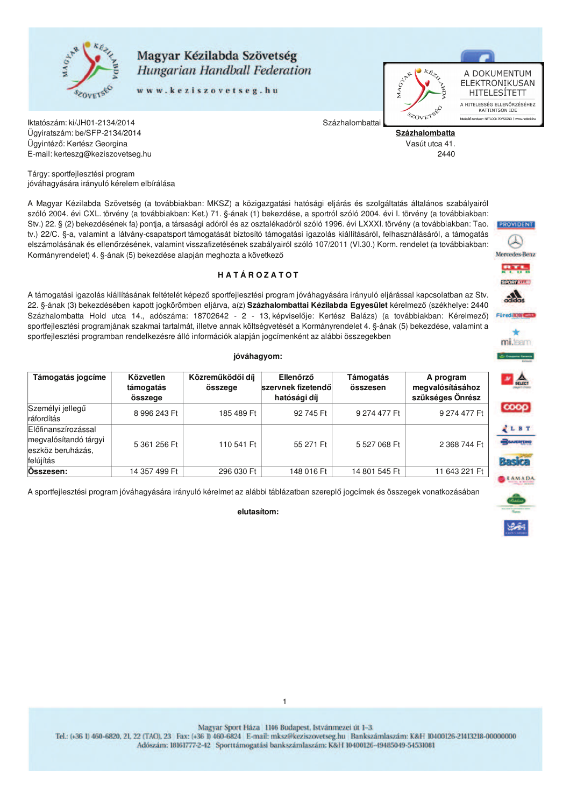

## Magyar Kézilabda Szövetség Hungarian Handball Federation

www.keziszovetseg.hu



A DOKUMENTUM ELEKTRONIKUSAN HITELESÍTETT A HITELESSÉG ELLENŐRZÉSÉHEZ<br>KATTINTSON IDE kær: NETLOCK PDFSIGNO | www

Százhalombatta Vasút utca 41.

Százhalombattai

2440

Iktatószám: ki/JH01-2134/2014 Ügyiratszám: be/SFP-2134/2014 Ügyintéző: Kertész Georgina E-mail: kerteszg@keziszovetseg.hu

Tárgy: sportfejlesztési program jóváhagyására irányuló kérelem elbírálása

A Magyar Kézilabda Szövetség (a továbbiakban: MKSZ) a közigazgatási hatósági eljárás és szolgáltatás általános szabályairól szóló 2004. évi CXL. törvény (a továbbiakban: Ket.) 71. §-ának (1) bekezdése, a sportról szóló 2004. évi I. törvény (a továbbiakban: Stv.) 22. § (2) bekezdésének fa) pontja, a társasági adóról és az osztalékadóról szóló 1996. évi LXXXI. törvény (a továbbiakban: Tao. tv.) 22/C. §-a, valamint a látvány-csapatsport támogatását biztosító támogatási igazolás kiállításáról, felhasználásáról, a támogatás elszámolásának és ellenőrzésének, valamint visszafizetésének szabályairól szóló 107/2011 (VI.30.) Korm. rendelet (a továbbiakban: Kormányrendelet) 4. §-ának (5) bekezdése alapján meghozta a következő

### HATÁROZATOT

A támogatási igazolás kiállításának feltételét képező sportfejlesztési program jóváhagyására irányuló eljárással kapcsolatban az Stv. 22. §-ának (3) bekezdésében kapott jogkörömben eljárva, a(z) Százhalombattai Kézilabda Egyesület kérelmező (székhelye: 2440 Százhalombatta Hold utca 14., adószáma: 18702642 - 2 - 13, képviselője: Kertész Balázs) (a továbbiakban: Kérelmező) sportfejlesztési programjának szakmai tartalmát, illetve annak költségvetését a Kormányrendelet 4. §-ának (5) bekezdése, valamint a sportfejlesztési programban rendelkezésre álló információk alapján jogcímenként az alábbi összegekben

#### jóváhagyom:

| Támogatás jogcíme                                                              | Közvetlen<br>támogatás<br>összege | Közreműködői díj<br>összege | Ellenőrző<br>szervnek fizetendől<br>hatósági díj | Támogatás<br>összesen | A program<br>megvalósításához<br>szükséges Önrész |
|--------------------------------------------------------------------------------|-----------------------------------|-----------------------------|--------------------------------------------------|-----------------------|---------------------------------------------------|
| Személyi jellegű<br>ráfordítás                                                 | 8 996 243 Ft                      | 185 489 Ft                  | 92 745 Ft                                        | 9 274 477 Ft          | 9 274 477 Ft                                      |
| Előfinanszírozással<br>megvalósítandó tárgyi<br>eszköz beruházás,<br>felújítás | 5 361 256 Ft                      | 110 541 Ft                  | 55 271 Ft                                        | 5 527 068 Ft          | 2 368 744 Ft                                      |
| Osszesen:                                                                      | 14 357 499 Ft                     | 296 030 Ft                  | 148 016 Ft                                       | 14 801 545 Ft         | 11 643 221 Ft                                     |

A sportfejlesztési program jóváhagyására irányuló kérelmet az alábbi táblázatban szereplő jogcímek és összegek vonatkozásában

### elutasítom:



Magyar Sport Háza 1146 Budapest, Istvánmezei út 1-3.

 $\mathbf{1}$ 

Tel.: (+36 1) 460-6820, 21, 22 (TAO), 23 Fax: (+36 1) 460-6824 E-mail: mksz@keziszovetseg.hu Bankszámlaszám: K&H 10400126-21413218-00000000 Adószám: 18161777-2-42 Sporttámogatási bankszámlaszám: K&H 10400126-49485049-54531081





**PROVIDENT** 

Mercedes-Benz

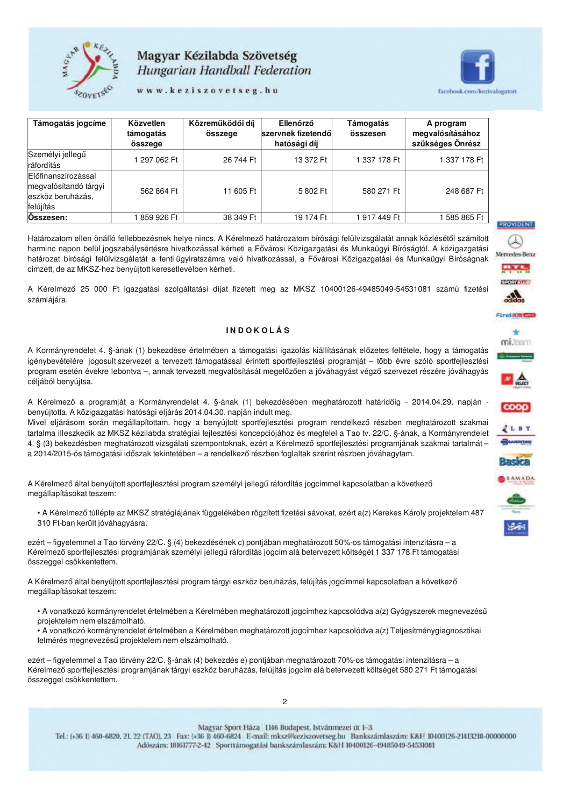

# Magyar Kézilabda Szövetség Hungarian Handball Federation

www.keziszovetseg.hu



| Támogatás jogcíme                                                              | Közvetlen<br>támogatás<br>összege | Közreműködői díj<br>összege | Ellenőrző<br>szervnek fizetendől<br>hatósági díj | Támogatás<br>összesen | A program<br>megvalósításához<br>szükséges Önrész |
|--------------------------------------------------------------------------------|-----------------------------------|-----------------------------|--------------------------------------------------|-----------------------|---------------------------------------------------|
| Személyi jellegű<br>ráfordítás                                                 | 1 297 062 Ft                      | 26 744 Ft                   | 13 372 Ft                                        | 337 178 Ft            | 1 337 178 Ft                                      |
| Előfinanszírozással<br>megvalósítandó tárgyi<br>eszköz beruházás,<br>felújítás | 562 864 Ft                        | 11 605 Ft                   | 5802 Ft                                          | 580 271 Ft            | 248 687 Ft                                        |
| Osszesen:                                                                      | 859 926 Ft                        | 38 349 Ft                   | 19 174 Ft                                        | 917 449 Ft            | 585 865 Ft                                        |

Határozatom ellen önálló fellebbezésnek helye nincs. A Kérelmező határozatom bírósági felülvizsgálatát annak közlésétől számított harminc napon belül jogszabálysértésre hivatkozással kérheti a Fővárosi Közigazgatási és Munkaügyi Bíróságtól. A közigazgatási határozat bírósági felülvizsgálatát a fenti ügyiratszámra való hivatkozással, a Fővárosi Közigazgatási és Munkaügyi Bíróságnak címzett, de az MKSZ-hez benvújtott keresetlevélben kérheti.

A Kérelmező 25 000 Ft igazgatási szolgáltatási díjat fizetett meg az MKSZ 10400126-49485049-54531081 számú fizetési számlájára.

#### **INDOKOLÁS**

A Kormányrendelet 4. §-ának (1) bekezdése értelmében a támogatási igazolás kiállításának előzetes feltétele, hogy a támogatás igénybevételére jogosult szervezet a tervezett támogatással érintett sportfejlesztési programját – több évre szóló sportfejlesztési program esetén évekre lebontva -, annak tervezett megvalósítását megelőzően a jóváhagyást végző szervezet részére jóváhagyás céljából benyújtsa.

A Kérelmező a programját a Kormányrendelet 4. §-ának (1) bekezdésében meghatározott határidőig - 2014.04.29. napján benyújtotta. A közigazgatási hatósági eljárás 2014.04.30. napján indult meg.

Mivel eljárásom során megállapítottam, hogy a benyújtott sportfejlesztési program rendelkező részben meghatározott szakmai tartalma illeszkedik az MKSZ kézilabda stratégiai fejlesztési koncepciójához és megfelel a Tao tv. 22/C. §-ának, a Kormányrendelet 4. § (3) bekezdésben meghatározott vizsgálati szempontoknak, ezért a Kérelmező sportfejlesztési programjának szakmai tartalmát a 2014/2015-ös támogatási időszak tekintetében – a rendelkező részben foglaltak szerint részben jóváhagytam.

A Kérelmező által benyújtott sportfejlesztési program személyi jellegű ráfordítás jogcímmel kapcsolatban a következő megállapításokat teszem:

• A Kérelmező túllépte az MKSZ stratégiájának függelékében rögzített fizetési sávokat, ezért a(z) Kerekes Károly projektelem 487 310 Ft-ban került jóváhagyásra.

ezért – figyelemmel a Tao törvény 22/C. § (4) bekezdésének c) pontjában meghatározott 50%-os támogatási intenzitásra – a Kérelmező sportfejlesztési programjának személyi jellegű ráfordítás jogcím alá betervezett költségét 1 337 178 Ft támogatási összeggel csökkentettem.

A Kérelmező által benyújtott sportfejlesztési program tárgyi eszköz beruházás, felújítás jogcímmel kapcsolatban a következő megállapításokat teszem:

• A vonatkozó kormányrendelet értelmében a Kérelmében meghatározott jogcímhez kapcsolódva a(z) Gyógyszerek megnevezésű projektelem nem elszámolható.

· A vonatkozó kormányrendelet értelmében a Kérelmében meghatározott jogcímhez kapcsolódva a(z) Teljesítménygiagnosztikai felmérés megnevezésű projektelem nem elszámolható.

ezért – figyelemmel a Tao törvény 22/C. §-ának (4) bekezdés e) pontjában meghatározott 70%-os támogatási intenzitásra – a Kérelmező sportfejlesztési programiának tárgyi eszköz beruházás, felújítás jogcím alá betervezett költségét 580 271 Ft támogatási összeggel csökkentettem.

Magyar Sport Háza 1146 Budapest, Istvánmezei út 1-3.

Tel.: (+36 1) 460-6820, 21, 22 (TAO), 23 Fax: (+36 1) 460-6824 E-mail: mksz@keziszovetseg.hu Bankszámlaszám: K&H 10400126-21413218-00000000 Adószám: 18161777-2-42 Sporttámogatási bankszámlaszám: K&H 10400126-49485049-54531081



**PROVIDENT**